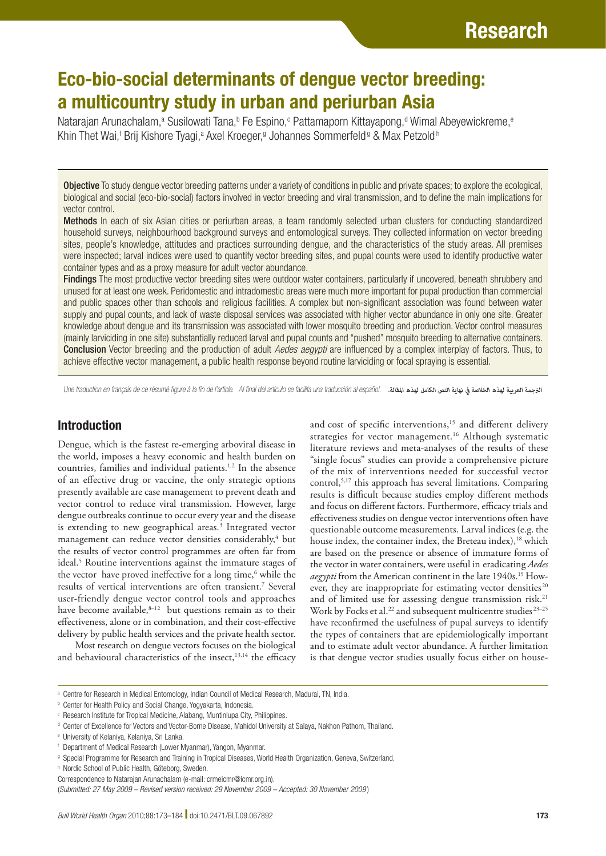# Eco-bio-social determinants of dengue vector breeding: a multicountry study in urban and periurban Asia

Natarajan Arunachalam,<sup>a</sup> Susilowati Tana,<sup>b</sup> Fe Espino,<sup>c</sup> Pattamaporn Kittayapong,<sup>d</sup> Wimal Abeyewickreme,<sup>e</sup> Khin Thet Wai,<sup>f</sup> Brij Kishore Tyagi,<sup>a</sup> Axel Kroeger,<sup>g</sup> Johannes Sommerfeld<sup> g</sup> & Max Petzold <sup>h</sup>

**Objective** To study dengue vector breeding patterns under a variety of conditions in public and private spaces; to explore the ecological, biological and social (eco-bio-social) factors involved in vector breeding and viral transmission, and to define the main implications for vector control.

Methods In each of six Asian cities or periurban areas, a team randomly selected urban clusters for conducting standardized household surveys, neighbourhood background surveys and entomological surveys. They collected information on vector breeding sites, people's knowledge, attitudes and practices surrounding dengue, and the characteristics of the study areas. All premises were inspected; larval indices were used to quantify vector breeding sites, and pupal counts were used to identify productive water container types and as a proxy measure for adult vector abundance.

Findings The most productive vector breeding sites were outdoor water containers, particularly if uncovered, beneath shrubbery and unused for at least one week. Peridomestic and intradomestic areas were much more important for pupal production than commercial and public spaces other than schools and religious facilities. A complex but non-significant association was found between water supply and pupal counts, and lack of waste disposal services was associated with higher vector abundance in only one site. Greater knowledge about dengue and its transmission was associated with lower mosquito breeding and production. Vector control measures (mainly larviciding in one site) substantially reduced larval and pupal counts and "pushed" mosquito breeding to alternative containers. Conclusion Vector breeding and the production of adult *Aedes aegypti* are influenced by a complex interplay of factors. Thus, to achieve effective vector management, a public health response beyond routine larviciding or focal spraying is essential.

Une traduction en français de ce résumé figure à la fin de l'article. Al final del artículo se facilita una traducción al español. *.املقالة لهذه الكامل النص نهاية يف الخالصة لهذه العربية الرتجمة*

# Introduction

Dengue, which is the fastest re-emerging arboviral disease in the world, imposes a heavy economic and health burden on countries, families and individual patients.<sup>1,2</sup> In the absence of an effective drug or vaccine, the only strategic options presently available are case management to prevent death and vector control to reduce viral transmission. However, large dengue outbreaks continue to occur every year and the disease is extending to new geographical areas.<sup>3</sup> Integrated vector management can reduce vector densities considerably,<sup>4</sup> but the results of vector control programmes are often far from ideal.5 Routine interventions against the immature stages of the vector have proved ineffective for a long time,<sup>6</sup> while the results of vertical interventions are often transient.7 Several user-friendly dengue vector control tools and approaches have become available, $8-12$  but questions remain as to their effectiveness, alone or in combination, and their cost-effective delivery by public health services and the private health sector.

Most research on dengue vectors focuses on the biological and behavioural characteristics of the insect,<sup>13,14</sup> the efficacy and cost of specific interventions,<sup>15</sup> and different delivery strategies for vector management.<sup>16</sup> Although systematic literature reviews and meta-analyses of the results of these "single focus" studies can provide a comprehensive picture of the mix of interventions needed for successful vector control,5,17 this approach has several limitations. Comparing results is difficult because studies employ different methods and focus on different factors. Furthermore, efficacy trials and effectiveness studies on dengue vector interventions often have questionable outcome measurements. Larval indices (e.g. the house index, the container index, the Breteau index),<sup>18</sup> which are based on the presence or absence of immature forms of the vector in water containers, were useful in eradicating *Aedes aegypti* from the American continent in the late 1940s.<sup>19</sup> However, they are inappropriate for estimating vector densities<sup>20</sup> and of limited use for assessing dengue transmission risk.<sup>21</sup> Work by Focks et al.<sup>22</sup> and subsequent multicentre studies<sup>23-25</sup> have reconfirmed the usefulness of pupal surveys to identify the types of containers that are epidemiologically important and to estimate adult vector abundance. A further limitation is that dengue vector studies usually focus either on house-

a Centre for Research in Medical Entomology, Indian Council of Medical Research, Madurai, TN, India.

**b** Center for Health Policy and Social Change, Yogyakarta, Indonesia.

c Research Institute for Tropical Medicine, Alabang, Muntinlupa City, Philippines.

d Center of Excellence for Vectors and Vector-Borne Disease, Mahidol University at Salaya, Nakhon Pathom, Thailand.

e University of Kelaniya, Kelaniya, Sri Lanka.

f Department of Medical Research (Lower Myanmar), Yangon, Myanmar.

g Special Programme for Research and Training in Tropical Diseases, World Health Organization, Geneva, Switzerland.

h Nordic School of Public Health, Göteborg, Sweden.

Correspondence to Natarajan Arunachalam (e-mail: crmeicmr@icmr.org.in).

<sup>(</sup>*Submitted: 27 May 2009 – Revised version received: 29 November 2009 – Accepted: 30 November 2009* )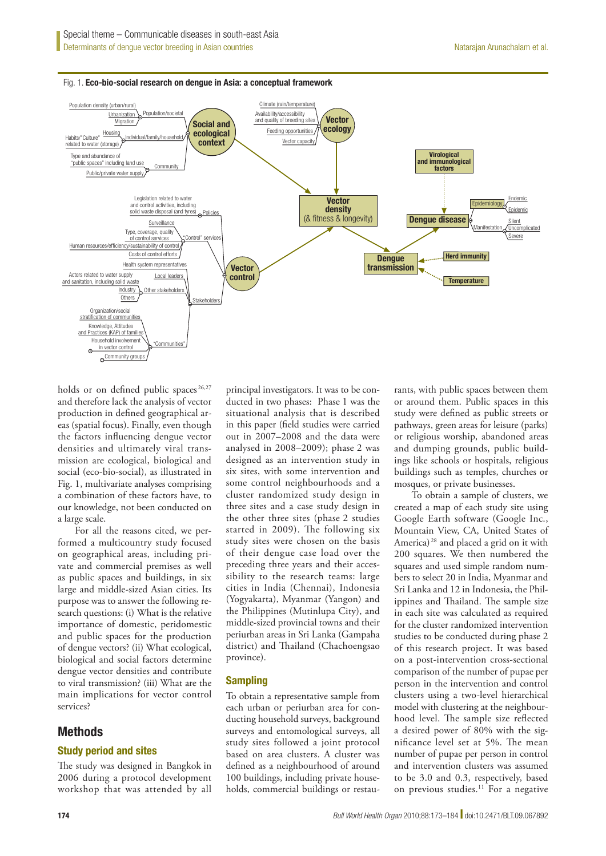#### Fig. 1. Eco-bio-social research on dengue in Asia: a conceptual framework



holds or on defined public spaces<sup>26,27</sup> and therefore lack the analysis of vector production in defined geographical areas (spatial focus). Finally, even though the factors influencing dengue vector densities and ultimately viral transmission are ecological, biological and social (eco-bio-social), as illustrated in Fig. 1, multivariate analyses comprising a combination of these factors have, to our knowledge, not been conducted on a large scale.

For all the reasons cited, we performed a multicountry study focused on geographical areas, including private and commercial premises as well as public spaces and buildings, in six large and middle-sized Asian cities. Its purpose was to answer the following research questions: (i) What is the relative importance of domestic, peridomestic and public spaces for the production of dengue vectors? (ii) What ecological, biological and social factors determine dengue vector densities and contribute to viral transmission? (iii) What are the main implications for vector control services?

## Methods

#### Study period and sites

The study was designed in Bangkok in 2006 during a protocol development workshop that was attended by all

principal investigators. It was to be conducted in two phases: Phase 1 was the situational analysis that is described in this paper (field studies were carried out in 2007–2008 and the data were analysed in 2008–2009); phase 2 was designed as an intervention study in six sites, with some intervention and some control neighbourhoods and a cluster randomized study design in three sites and a case study design in the other three sites (phase 2 studies started in 2009). The following six study sites were chosen on the basis of their dengue case load over the preceding three years and their accessibility to the research teams: large cities in India (Chennai), Indonesia (Yogyakarta), Myanmar (Yangon) and the Philippines (Mutinlupa City), and middle-sized provincial towns and their periurban areas in Sri Lanka (Gampaha district) and Thailand (Chachoengsao province).

#### Sampling

To obtain a representative sample from each urban or periurban area for conducting household surveys, background surveys and entomological surveys, all study sites followed a joint protocol based on area clusters. A cluster was defined as a neighbourhood of around 100 buildings, including private households, commercial buildings or restau-

rants, with public spaces between them or around them. Public spaces in this study were defined as public streets or pathways, green areas for leisure (parks) or religious worship, abandoned areas and dumping grounds, public buildings like schools or hospitals, religious buildings such as temples, churches or mosques, or private businesses.

To obtain a sample of clusters, we created a map of each study site using Google Earth software (Google Inc., Mountain View, CA, United States of America) 28 and placed a grid on it with 200 squares. We then numbered the squares and used simple random numbers to select 20 in India, Myanmar and Sri Lanka and 12 in Indonesia, the Philippines and Thailand. The sample size in each site was calculated as required for the cluster randomized intervention studies to be conducted during phase 2 of this research project. It was based on a post-intervention cross-sectional comparison of the number of pupae per person in the intervention and control clusters using a two-level hierarchical model with clustering at the neighbourhood level. The sample size reflected a desired power of 80% with the significance level set at 5%. The mean number of pupae per person in control and intervention clusters was assumed to be 3.0 and 0.3, respectively, based on previous studies.<sup>11</sup> For a negative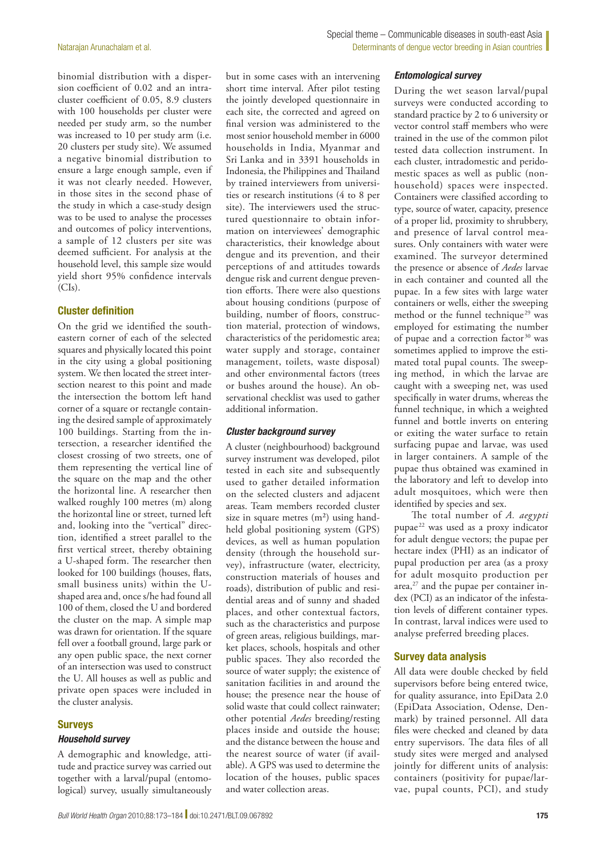binomial distribution with a dispersion coefficient of 0.02 and an intracluster coefficient of 0.05, 8.9 clusters with 100 households per cluster were needed per study arm, so the number was increased to 10 per study arm (i.e. 20 clusters per study site). We assumed a negative binomial distribution to ensure a large enough sample, even if it was not clearly needed. However, in those sites in the second phase of the study in which a case-study design was to be used to analyse the processes and outcomes of policy interventions, a sample of 12 clusters per site was deemed sufficient. For analysis at the household level, this sample size would yield short 95% confidence intervals  $(CIs).$ 

#### Cluster definition

On the grid we identified the southeastern corner of each of the selected squares and physically located this point in the city using a global positioning system. We then located the street intersection nearest to this point and made the intersection the bottom left hand corner of a square or rectangle containing the desired sample of approximately 100 buildings. Starting from the intersection, a researcher identified the closest crossing of two streets, one of them representing the vertical line of the square on the map and the other the horizontal line. A researcher then walked roughly 100 metres (m) along the horizontal line or street, turned left and, looking into the "vertical" direction, identified a street parallel to the first vertical street, thereby obtaining a U-shaped form. The researcher then looked for 100 buildings (houses, flats, small business units) within the Ushaped area and, once s/he had found all 100 of them, closed the U and bordered the cluster on the map. A simple map was drawn for orientation. If the square fell over a football ground, large park or any open public space, the next corner of an intersection was used to construct the U. All houses as well as public and private open spaces were included in the cluster analysis.

#### Surveys *Household survey*

A demographic and knowledge, attitude and practice survey was carried out together with a larval/pupal (entomological) survey, usually simultaneously

but in some cases with an intervening short time interval. After pilot testing the jointly developed questionnaire in each site, the corrected and agreed on final version was administered to the most senior household member in 6000 households in India, Myanmar and Sri Lanka and in 3391 households in Indonesia, the Philippines and Thailand by trained interviewers from universities or research institutions (4 to 8 per site). The interviewers used the structured questionnaire to obtain information on interviewees' demographic characteristics, their knowledge about dengue and its prevention, and their perceptions of and attitudes towards dengue risk and current dengue prevention efforts. There were also questions about housing conditions (purpose of building, number of floors, construction material, protection of windows, characteristics of the peridomestic area; water supply and storage, container management, toilets, waste disposal) and other environmental factors (trees or bushes around the house). An observational checklist was used to gather additional information.

#### *Cluster background survey*

A cluster (neighbourhood) background survey instrument was developed, pilot tested in each site and subsequently used to gather detailed information on the selected clusters and adjacent areas. Team members recorded cluster size in square metres  $(m<sup>2</sup>)$  using handheld global positioning system (GPS) devices, as well as human population density (through the household survey), infrastructure (water, electricity, construction materials of houses and roads), distribution of public and residential areas and of sunny and shaded places, and other contextual factors, such as the characteristics and purpose of green areas, religious buildings, market places, schools, hospitals and other public spaces. They also recorded the source of water supply; the existence of sanitation facilities in and around the house; the presence near the house of solid waste that could collect rainwater; other potential *Aedes* breeding/resting places inside and outside the house; and the distance between the house and the nearest source of water (if available). A GPS was used to determine the location of the houses, public spaces and water collection areas.

#### *Entomological survey*

During the wet season larval/pupal surveys were conducted according to standard practice by 2 to 6 university or vector control staff members who were trained in the use of the common pilot tested data collection instrument. In each cluster, intradomestic and peridomestic spaces as well as public (nonhousehold) spaces were inspected. Containers were classified according to type, source of water, capacity, presence of a proper lid, proximity to shrubbery, and presence of larval control measures. Only containers with water were examined. The surveyor determined the presence or absence of *Aedes* larvae in each container and counted all the pupae. In a few sites with large water containers or wells, either the sweeping method or the funnel technique<sup>29</sup> was employed for estimating the number of pupae and a correction factor 30 was sometimes applied to improve the estimated total pupal counts. The sweeping method, in which the larvae are caught with a sweeping net, was used specifically in water drums, whereas the funnel technique, in which a weighted funnel and bottle inverts on entering or exiting the water surface to retain surfacing pupae and larvae, was used in larger containers. A sample of the pupae thus obtained was examined in the laboratory and left to develop into adult mosquitoes, which were then identified by species and sex.

The total number of *A. aegypti*  pupae<sup>22</sup> was used as a proxy indicator for adult dengue vectors; the pupae per hectare index (PHI) as an indicator of pupal production per area (as a proxy for adult mosquito production per area, $27$  and the pupae per container index (PCI) as an indicator of the infestation levels of different container types. In contrast, larval indices were used to analyse preferred breeding places.

## Survey data analysis

All data were double checked by field supervisors before being entered twice, for quality assurance, into EpiData 2.0 (EpiData Association, Odense, Denmark) by trained personnel. All data files were checked and cleaned by data entry supervisors. The data files of all study sites were merged and analysed jointly for different units of analysis: containers (positivity for pupae/larvae, pupal counts, PCI), and study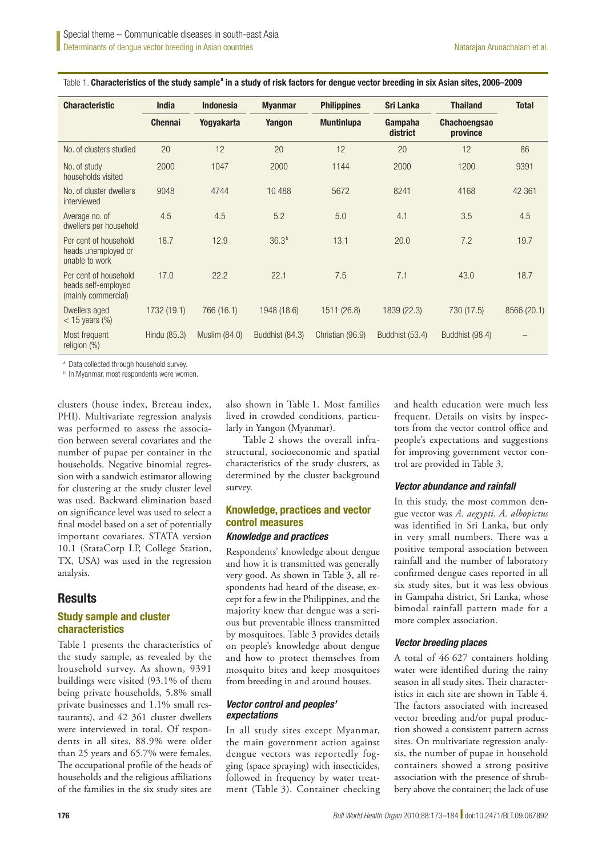| <b>Characteristic</b>                                               | <b>India</b>   | <b>Indonesia</b> | <b>Myanmar</b>  | <b>Philippines</b> | <b>Sri Lanka</b>    | <b>Thailand</b>                 | <b>Total</b> |
|---------------------------------------------------------------------|----------------|------------------|-----------------|--------------------|---------------------|---------------------------------|--------------|
|                                                                     | <b>Chennai</b> | Yogyakarta       | Yangon          | <b>Muntinlupa</b>  | Gampaha<br>district | <b>Chachoengsao</b><br>province |              |
| No. of clusters studied                                             | 20             | 12               | 20              | 12                 | 20                  | 12                              | 86           |
| No. of study<br>households visited                                  | 2000           | 1047             | 2000            | 1144               | 2000                | 1200                            | 9391         |
| No. of cluster dwellers<br>interviewed                              | 9048           | 4744             | 10 488          | 5672               | 8241                | 4168                            | 42 3 61      |
| Average no. of<br>dwellers per household                            | 4.5            | 4.5              | 5.2             | 5.0                | 4.1                 | 3.5                             | 4.5          |
| Per cent of household<br>heads unemployed or<br>unable to work      | 18.7           | 12.9             | $36.3^{b}$      | 13.1               | 20.0                | 7.2                             | 19.7         |
| Per cent of household<br>heads self-employed<br>(mainly commercial) | 17.0           | 22.2             | 22.1            | 7.5                | 7.1                 | 43.0                            | 18.7         |
| Dwellers aged<br>$<$ 15 years $\frac{9}{6}$                         | 1732 (19.1)    | 766 (16.1)       | 1948 (18.6)     | 1511 (26.8)        | 1839 (22.3)         | 730 (17.5)                      | 8566 (20.1)  |
| Most frequent<br>religion (%)                                       | Hindu (85.3)   | Muslim (84.0)    | Buddhist (84.3) | Christian (96.9)   | Buddhist (53.4)     | Buddhist (98.4)                 |              |

Table 1. Characteristics of the study sample<sup>a</sup> in a study of risk factors for dengue vector breeding in six Asian sites, 2006–2009

a Data collected through household survey.

**b** In Myanmar, most respondents were women.

clusters (house index, Breteau index, PHI). Multivariate regression analysis was performed to assess the association between several covariates and the number of pupae per container in the households. Negative binomial regression with a sandwich estimator allowing for clustering at the study cluster level was used. Backward elimination based on significance level was used to select a final model based on a set of potentially important covariates. STATA version 10.1 (StataCorp LP, College Station, TX, USA) was used in the regression analysis.

# **Results**

## Study sample and cluster characteristics

Table 1 presents the characteristics of the study sample, as revealed by the household survey. As shown, 9391 buildings were visited (93.1% of them being private households, 5.8% small private businesses and 1.1% small restaurants), and 42 361 cluster dwellers were interviewed in total. Of respondents in all sites, 88.9% were older than 25 years and 65.7% were females. The occupational profile of the heads of households and the religious affiliations of the families in the six study sites are

also shown in Table 1. Most families lived in crowded conditions, particularly in Yangon (Myanmar).

Table 2 shows the overall infrastructural, socioeconomic and spatial characteristics of the study clusters, as determined by the cluster background survey.

## Knowledge, practices and vector control measures

#### *Knowledge and practices*

Respondents' knowledge about dengue and how it is transmitted was generally very good. As shown in Table 3, all respondents had heard of the disease, except for a few in the Philippines, and the majority knew that dengue was a serious but preventable illness transmitted by mosquitoes. Table 3 provides details on people's knowledge about dengue and how to protect themselves from mosquito bites and keep mosquitoes from breeding in and around houses.

## *Vector control and peoples' expectations*

In all study sites except Myanmar, the main government action against dengue vectors was reportedly fogging (space spraying) with insecticides, followed in frequency by water treatment (Table 3). Container checking and health education were much less frequent. Details on visits by inspectors from the vector control office and people's expectations and suggestions for improving government vector control are provided in Table 3.

#### *Vector abundance and rainfall*

In this study, the most common dengue vector was *A. aegypti. A. albopictus* was identified in Sri Lanka, but only in very small numbers. There was a positive temporal association between rainfall and the number of laboratory confirmed dengue cases reported in all six study sites, but it was less obvious in Gampaha district, Sri Lanka, whose bimodal rainfall pattern made for a more complex association.

## *Vector breeding places*

A total of 46 627 containers holding water were identified during the rainy season in all study sites. Their characteristics in each site are shown in Table 4. The factors associated with increased vector breeding and/or pupal production showed a consistent pattern across sites. On multivariate regression analysis, the number of pupae in household containers showed a strong positive association with the presence of shrubbery above the container; the lack of use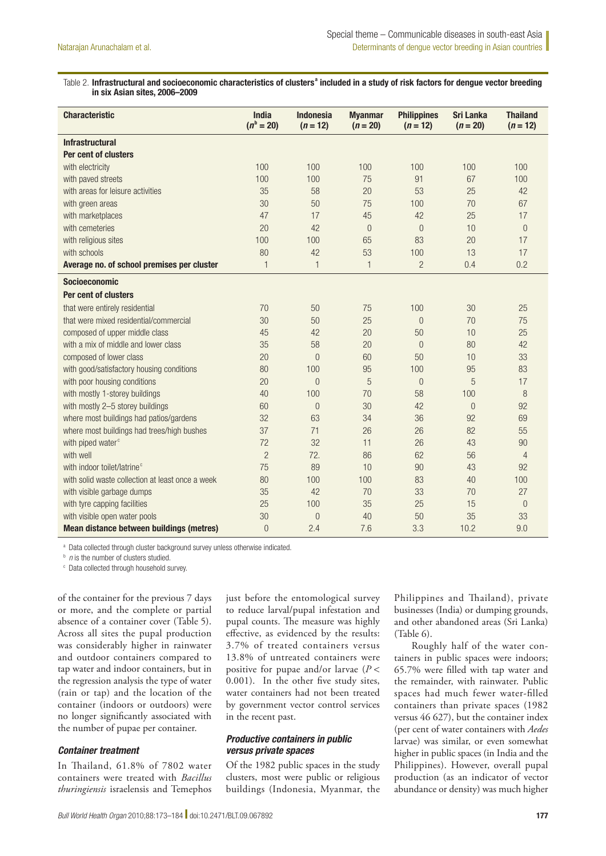#### Table 2. Infrastructural and socioeconomic characteristics of clusters<sup>a</sup> included in a study of risk factors for dengue vector breeding in six Asian sites, 2006–2009

| <b>Characteristic</b>                            | <b>India</b><br>$(n^{b} = 20)$ | <b>Indonesia</b><br>$(n = 12)$ | <b>Myanmar</b><br>$(n = 20)$ | <b>Philippines</b><br>$(n = 12)$ | <b>Sri Lanka</b><br>$(n = 20)$ | <b>Thailand</b><br>$(n = 12)$ |
|--------------------------------------------------|--------------------------------|--------------------------------|------------------------------|----------------------------------|--------------------------------|-------------------------------|
| <b>Infrastructural</b>                           |                                |                                |                              |                                  |                                |                               |
| Per cent of clusters                             |                                |                                |                              |                                  |                                |                               |
| with electricity                                 | 100                            | 100                            | 100                          | 100                              | 100                            | 100                           |
| with paved streets                               | 100                            | 100                            | 75                           | 91                               | 67                             | 100                           |
| with areas for leisure activities                | 35                             | 58                             | 20                           | 53                               | 25                             | 42                            |
| with green areas                                 | 30                             | 50                             | 75                           | 100                              | 70                             | 67                            |
| with marketplaces                                | 47                             | 17                             | 45                           | 42                               | 25                             | 17                            |
| with cemeteries                                  | 20                             | 42                             | $\overline{0}$               | $\overline{0}$                   | 10                             | $\theta$                      |
| with religious sites                             | 100                            | 100                            | 65                           | 83                               | 20                             | 17                            |
| with schools                                     | 80                             | 42                             | 53                           | 100                              | 13                             | 17                            |
| Average no. of school premises per cluster       | $\mathbf{1}$                   | $\mathbf{1}$                   | $\mathbf{1}$                 | $\overline{c}$                   | 0.4                            | 0.2                           |
| <b>Socioeconomic</b>                             |                                |                                |                              |                                  |                                |                               |
| Per cent of clusters                             |                                |                                |                              |                                  |                                |                               |
| that were entirely residential                   | 70                             | 50                             | 75                           | 100                              | 30                             | 25                            |
| that were mixed residential/commercial           | 30                             | 50                             | 25                           | $\Omega$                         | 70                             | 75                            |
| composed of upper middle class                   | 45                             | 42                             | 20                           | 50                               | 10                             | 25                            |
| with a mix of middle and lower class             | 35                             | 58                             | 20                           | $\overline{0}$                   | 80                             | 42                            |
| composed of lower class                          | 20                             | $\overline{0}$                 | 60                           | 50                               | 10                             | 33                            |
| with good/satisfactory housing conditions        | 80                             | 100                            | 95                           | 100                              | 95                             | 83                            |
| with poor housing conditions                     | 20                             | $\overline{0}$                 | 5                            | $\overline{0}$                   | 5                              | 17                            |
| with mostly 1-storey buildings                   | 40                             | 100                            | 70                           | 58                               | 100                            | 8                             |
| with mostly 2-5 storey buildings                 | 60                             | $\Omega$                       | 30                           | 42                               | $\Omega$                       | 92                            |
| where most buildings had patios/gardens          | 32                             | 63                             | 34                           | 36                               | 92                             | 69                            |
| where most buildings had trees/high bushes       | 37                             | 71                             | 26                           | 26                               | 82                             | 55                            |
| with piped water <sup>c</sup>                    | 72                             | 32                             | 11                           | 26                               | 43                             | 90                            |
| with well                                        | $\overline{2}$                 | 72.                            | 86                           | 62                               | 56                             | $\overline{4}$                |
| with indoor toilet/latrine <sup>c</sup>          | 75                             | 89                             | 10                           | 90                               | 43                             | 92                            |
| with solid waste collection at least once a week | 80                             | 100                            | 100                          | 83                               | 40                             | 100                           |
| with visible garbage dumps                       | 35                             | 42                             | 70                           | 33                               | 70                             | 27                            |
| with tyre capping facilities                     | 25                             | 100                            | 35                           | 25                               | 15                             | $\overline{0}$                |
| with visible open water pools                    | 30                             | $\overline{0}$                 | 40                           | 50                               | 35                             | 33                            |
| <b>Mean distance between buildings (metres)</b>  | $\overline{0}$                 | 2.4                            | 7.6                          | 3.3                              | 10.2                           | 9.0                           |

a Data collected through cluster background survey unless otherwise indicated.

*n* is the number of clusters studied.

c Data collected through household survey.

of the container for the previous 7 days or more, and the complete or partial absence of a container cover (Table 5). Across all sites the pupal production was considerably higher in rainwater and outdoor containers compared to tap water and indoor containers, but in the regression analysis the type of water (rain or tap) and the location of the container (indoors or outdoors) were no longer significantly associated with the number of pupae per container.

#### *Container treatment*

In Thailand, 61.8% of 7802 water containers were treated with *Bacillus thuringiensis* israelensis and Temephos

just before the entomological survey to reduce larval/pupal infestation and pupal counts. The measure was highly effective, as evidenced by the results: 3.7% of treated containers versus 13.8% of untreated containers were positive for pupae and/or larvae (*P* < 0.001). In the other five study sites, water containers had not been treated by government vector control services in the recent past.

## *Productive containers in public versus private spaces*

Of the 1982 public spaces in the study clusters, most were public or religious buildings (Indonesia, Myanmar, the Philippines and Thailand), private businesses (India) or dumping grounds, and other abandoned areas (Sri Lanka) (Table 6).

Roughly half of the water containers in public spaces were indoors; 65.7% were filled with tap water and the remainder, with rainwater. Public spaces had much fewer water-filled containers than private spaces (1982 versus 46 627), but the container index (per cent of water containers with *Aedes* larvae) was similar, or even somewhat higher in public spaces (in India and the Philippines). However, overall pupal production (as an indicator of vector abundance or density) was much higher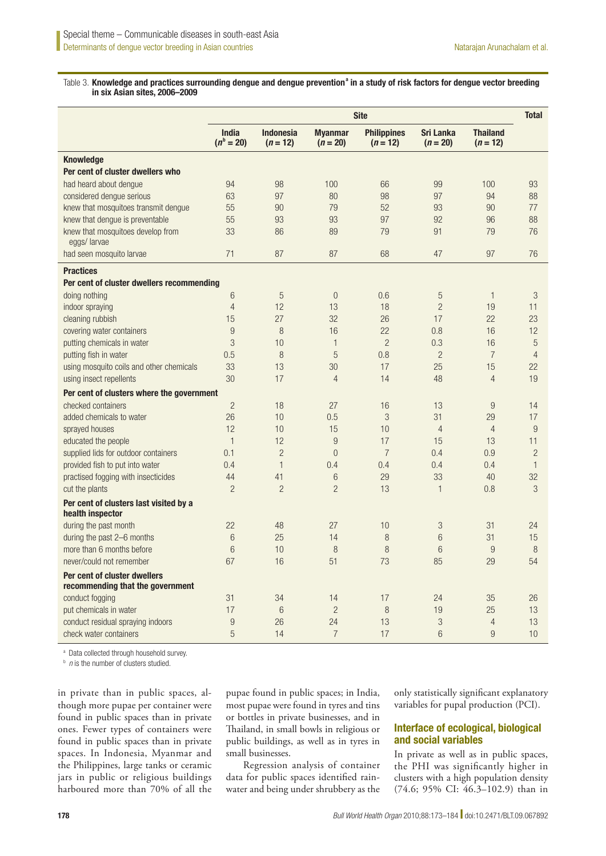#### Table 3. Knowledge and practices surrounding dengue and dengue prevention<sup>a</sup> in a study of risk factors for dengue vector breeding in six Asian sites, 2006–2009

|                                                                  | <b>Site</b>                    |                                |                              |                                  |                                | <b>Total</b>                  |                |
|------------------------------------------------------------------|--------------------------------|--------------------------------|------------------------------|----------------------------------|--------------------------------|-------------------------------|----------------|
|                                                                  | <b>India</b><br>$(n^{b} = 20)$ | <b>Indonesia</b><br>$(n = 12)$ | <b>Myanmar</b><br>$(n = 20)$ | <b>Philippines</b><br>$(n = 12)$ | <b>Sri Lanka</b><br>$(n = 20)$ | <b>Thailand</b><br>$(n = 12)$ |                |
| <b>Knowledge</b>                                                 |                                |                                |                              |                                  |                                |                               |                |
| Per cent of cluster dwellers who                                 |                                |                                |                              |                                  |                                |                               |                |
| had heard about dengue                                           | 94                             | 98                             | 100                          | 66                               | 99                             | 100                           | 93             |
| considered dengue serious                                        | 63                             | 97                             | 80                           | 98                               | 97                             | 94                            | 88             |
| knew that mosquitoes transmit dengue                             | 55                             | 90                             | 79                           | 52                               | 93                             | 90                            | 77             |
| knew that dengue is preventable                                  | 55                             | 93                             | 93                           | 97                               | 92                             | 96                            | 88             |
| knew that mosquitoes develop from<br>eggs/larvae                 | 33                             | 86                             | 89                           | 79                               | 91                             | 79                            | 76             |
| had seen mosquito larvae                                         | 71                             | 87                             | 87                           | 68                               | 47                             | 97                            | 76             |
| <b>Practices</b>                                                 |                                |                                |                              |                                  |                                |                               |                |
| Per cent of cluster dwellers recommending                        |                                |                                |                              |                                  |                                |                               |                |
| doing nothing                                                    | 6                              | 5                              | $\boldsymbol{0}$             | 0.6                              | 5                              | $\mathbf{1}$                  | $\mathfrak{Z}$ |
| indoor spraying                                                  | $\overline{4}$                 | 12                             | 13                           | 18                               | $\overline{c}$                 | 19                            | 11             |
| cleaning rubbish                                                 | 15                             | 27                             | 32                           | 26                               | 17                             | 22                            | 23             |
| covering water containers                                        | 9                              | 8                              | 16                           | 22                               | 0.8                            | 16                            | 12             |
| putting chemicals in water                                       | 3                              | 10                             | $\mathbf{1}$                 | $\overline{2}$                   | 0.3                            | 16                            | $\sqrt{5}$     |
| putting fish in water                                            | 0.5                            | 8                              | 5                            | 0.8                              | $\overline{c}$                 | $\overline{7}$                | $\overline{4}$ |
| using mosquito coils and other chemicals                         | 33                             | 13                             | 30                           | 17                               | 25                             | 15                            | 22             |
| using insect repellents                                          | 30                             | 17                             | $\overline{4}$               | 14                               | 48                             | $\overline{4}$                | 19             |
| Per cent of clusters where the government                        |                                |                                |                              |                                  |                                |                               |                |
| checked containers                                               | $\overline{c}$                 | 18                             | 27                           | 16                               | 13                             | 9                             | 14             |
| added chemicals to water                                         | 26                             | 10                             | 0.5                          | 3                                | 31                             | 29                            | 17             |
| sprayed houses                                                   | 12                             | 10                             | 15                           | 10                               | $\overline{4}$                 | $\overline{4}$                | 9              |
| educated the people                                              | $\mathbf{1}$                   | 12                             | 9                            | 17                               | 15                             | 13                            | 11             |
| supplied lids for outdoor containers                             | 0.1                            | $\overline{c}$                 | $\overline{0}$               | $\overline{7}$                   | 0.4                            | 0.9                           | $\overline{c}$ |
| provided fish to put into water                                  | 0.4                            | $\mathbf{1}$                   | 0.4                          | 0.4                              | 0.4                            | 0.4                           | $\mathbf{1}$   |
| practised fogging with insecticides                              | 44                             | 41                             | 6                            | 29                               | 33                             | 40                            | 32             |
| cut the plants                                                   | $\overline{c}$                 | $\overline{2}$                 | $\overline{2}$               | 13                               | $\mathbf{1}$                   | 0.8                           | 3              |
| Per cent of clusters last visited by a<br>health inspector       |                                |                                |                              |                                  |                                |                               |                |
| during the past month                                            | 22                             | 48                             | 27                           | 10                               | 3                              | 31                            | 24             |
| during the past 2-6 months                                       | 6                              | 25                             | 14                           | 8                                | 6                              | 31                            | 15             |
| more than 6 months before                                        | 6                              | 10                             | 8                            | 8                                | $6\phantom{.}6$                | 9                             | 8              |
| never/could not remember                                         | 67                             | 16                             | 51                           | 73                               | 85                             | 29                            | 54             |
| Per cent of cluster dwellers<br>recommending that the government |                                |                                |                              |                                  |                                |                               |                |
| conduct fogging                                                  | 31                             | 34                             | 14                           | 17                               | 24                             | 35                            | 26             |
| put chemicals in water                                           | 17                             | 6                              | $\overline{c}$               | $\, 8$                           | 19                             | 25                            | 13             |
| conduct residual spraying indoors                                | $\overline{9}$                 | 26                             | 24                           | 13                               | $\sqrt{3}$                     | $\overline{4}$                | 13             |
| check water containers                                           | 5                              | 14                             | $\overline{7}$               | 17                               | $6\phantom{.}6$                | 9                             | 10             |

a Data collected through household survey.

*n* is the number of clusters studied.

in private than in public spaces, although more pupae per container were found in public spaces than in private ones. Fewer types of containers were found in public spaces than in private spaces. In Indonesia, Myanmar and the Philippines, large tanks or ceramic jars in public or religious buildings harboured more than 70% of all the

pupae found in public spaces; in India, most pupae were found in tyres and tins or bottles in private businesses, and in Thailand, in small bowls in religious or public buildings, as well as in tyres in small businesses.

Regression analysis of container data for public spaces identified rainwater and being under shrubbery as the

only statistically significant explanatory variables for pupal production (PCI).

## Interface of ecological, biological and social variables

In private as well as in public spaces, the PHI was significantly higher in clusters with a high population density (74.6; 95% CI: 46.3–102.9) than in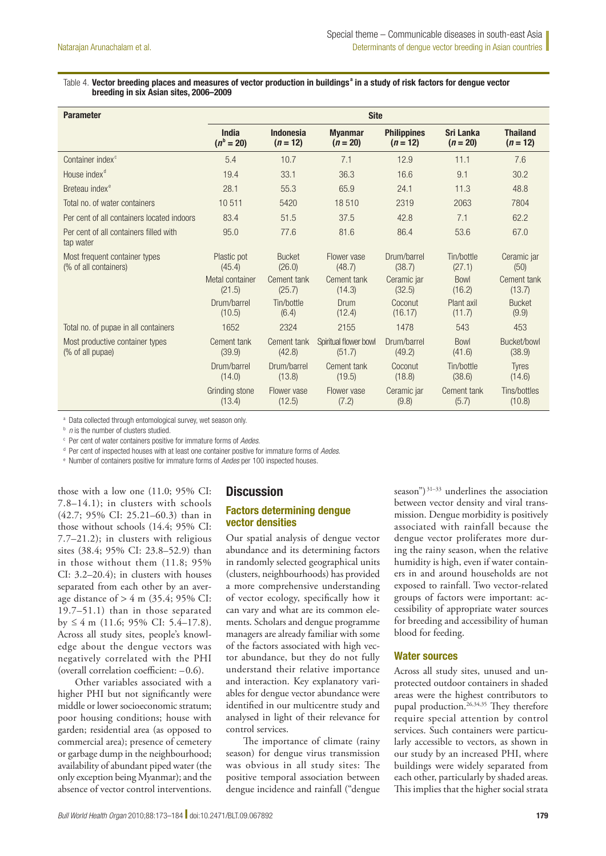#### Table 4. Vector breeding places and measures of vector production in buildings<sup>a</sup> in a study of risk factors for dengue vector breeding in six Asian sites, 2006–2009

| <b>Parameter</b>                                       | <b>Site</b>                    |                                |                                 |                                  |                                |                               |  |
|--------------------------------------------------------|--------------------------------|--------------------------------|---------------------------------|----------------------------------|--------------------------------|-------------------------------|--|
|                                                        | <b>India</b><br>$(n^{b} = 20)$ | <b>Indonesia</b><br>$(n = 12)$ | <b>Myanmar</b><br>$(n = 20)$    | <b>Philippines</b><br>$(n = 12)$ | <b>Sri Lanka</b><br>$(n = 20)$ | <b>Thailand</b><br>$(n = 12)$ |  |
| Container index <sup>c</sup>                           | 5.4                            | 10.7                           | 7.1                             | 12.9                             | 11.1                           | 7.6                           |  |
| House index <sup>d</sup>                               | 19.4                           | 33.1                           | 36.3                            | 16.6                             | 9.1                            | 30.2                          |  |
| Breteau index <sup>e</sup>                             | 28.1                           | 55.3                           | 65.9                            | 24.1                             | 11.3                           | 48.8                          |  |
| Total no. of water containers                          | 10511                          | 5420                           | 18510                           | 2319                             | 2063                           | 7804                          |  |
| Per cent of all containers located indoors             | 83.4                           | 51.5                           | 37.5                            | 42.8                             | 7.1                            | 62.2                          |  |
| Per cent of all containers filled with<br>tap water    | 95.0                           | 77.6                           | 81.6                            | 86.4                             | 53.6                           | 67.0                          |  |
| Most frequent container types<br>(% of all containers) | Plastic pot<br>(45.4)          | <b>Bucket</b><br>(26.0)        | Flower vase<br>(48.7)           | Drum/barrel<br>(38.7)            | Tin/bottle<br>(27.1)           | Ceramic jar<br>(50)           |  |
|                                                        | Metal container<br>(21.5)      | Cement tank<br>(25.7)          | Cement tank<br>(14.3)           | Ceramic jar<br>(32.5)            | <b>Bowl</b><br>(16.2)          | Cement tank<br>(13.7)         |  |
|                                                        | Drum/barrel<br>(10.5)          | Tin/bottle<br>(6.4)            | Drum<br>(12.4)                  | Coconut<br>(16.17)               | Plant axil<br>(11.7)           | <b>Bucket</b><br>(9.9)        |  |
| Total no. of pupae in all containers                   | 1652                           | 2324                           | 2155                            | 1478                             | 543                            | 453                           |  |
| Most productive container types<br>(% of all pupae)    | Cement tank<br>(39.9)          | Cement tank<br>(42.8)          | Spiritual flower bowl<br>(51.7) | Drum/barrel<br>(49.2)            | <b>Bowl</b><br>(41.6)          | Bucket/bowl<br>(38.9)         |  |
|                                                        | Drum/barrel<br>(14.0)          | Drum/barrel<br>(13.8)          | Cement tank<br>(19.5)           | Coconut<br>(18.8)                | Tin/bottle<br>(38.6)           | <b>Tyres</b><br>(14.6)        |  |
|                                                        | Grinding stone<br>(13.4)       | Flower vase<br>(12.5)          | Flower vase<br>(7.2)            | Ceramic jar<br>(9.8)             | Cement tank<br>(5.7)           | Tins/bottles<br>(10.8)        |  |

a Data collected through entomological survey, wet season only.

*n* is the number of clusters studied.

c Per cent of water containers positive for immature forms of *Aedes*.

d Per cent of inspected houses with at least one container positive for immature forms of *Aedes*.

e Number of containers positive for immature forms of *Aedes* per 100 inspected houses.

those with a low one (11.0; 95% CI: 7.8–14.1); in clusters with schools (42.7; 95% CI: 25.21–60.3) than in those without schools (14.4; 95% CI: 7.7–21.2); in clusters with religious sites (38.4; 95% CI: 23.8–52.9) than in those without them (11.8; 95% CI: 3.2–20.4); in clusters with houses separated from each other by an average distance of  $> 4$  m (35.4; 95% CI: 19.7–51.1) than in those separated by  $\leq 4$  m (11.6; 95% CI: 5.4–17.8). Across all study sites, people's knowledge about the dengue vectors was negatively correlated with the PHI (overall correlation coefficient: –0.6).

Other variables associated with a higher PHI but not significantly were middle or lower socioeconomic stratum; poor housing conditions; house with garden; residential area (as opposed to commercial area); presence of cemetery or garbage dump in the neighbourhood; availability of abundant piped water (the only exception being Myanmar); and the absence of vector control interventions.

## **Discussion**

## Factors determining dengue vector densities

Our spatial analysis of dengue vector abundance and its determining factors in randomly selected geographical units (clusters, neighbourhoods) has provided a more comprehensive understanding of vector ecology, specifically how it can vary and what are its common elements. Scholars and dengue programme managers are already familiar with some of the factors associated with high vector abundance, but they do not fully understand their relative importance and interaction. Key explanatory variables for dengue vector abundance were identified in our multicentre study and analysed in light of their relevance for control services.

The importance of climate (rainy season) for dengue virus transmission was obvious in all study sites: The positive temporal association between dengue incidence and rainfall ("dengue

season")<sup>31–33</sup> underlines the association between vector density and viral transmission. Dengue morbidity is positively associated with rainfall because the dengue vector proliferates more during the rainy season, when the relative humidity is high, even if water containers in and around households are not exposed to rainfall. Two vector-related groups of factors were important: accessibility of appropriate water sources for breeding and accessibility of human blood for feeding.

#### Water sources

Across all study sites, unused and unprotected outdoor containers in shaded areas were the highest contributors to pupal production.<sup>26,34,35</sup> They therefore require special attention by control services. Such containers were particularly accessible to vectors, as shown in our study by an increased PHI, where buildings were widely separated from each other, particularly by shaded areas. This implies that the higher social strata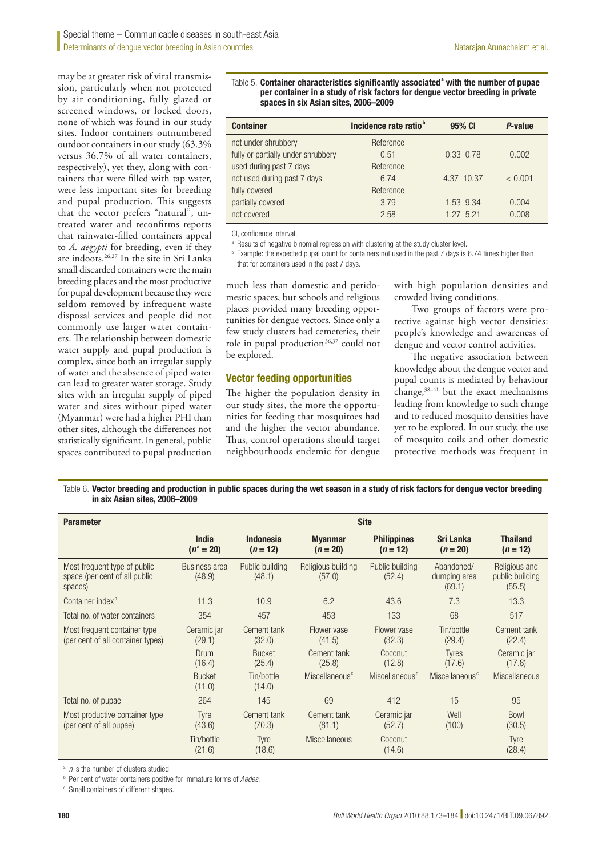may be at greater risk of viral transmission, particularly when not protected by air conditioning, fully glazed or screened windows, or locked doors, none of which was found in our study sites. Indoor containers outnumbered outdoor containers in our study (63.3% versus 36.7% of all water containers, respectively), yet they, along with containers that were filled with tap water, were less important sites for breeding and pupal production. This suggests that the vector prefers "natural", untreated water and reconfirms reports that rainwater-filled containers appeal to *A. aegypti* for breeding, even if they are indoors.<sup>26,27</sup> In the site in Sri Lanka small discarded containers were the main breeding places and the most productive for pupal development because they were seldom removed by infrequent waste disposal services and people did not commonly use larger water containers. The relationship between domestic water supply and pupal production is complex, since both an irregular supply of water and the absence of piped water can lead to greater water storage. Study sites with an irregular supply of piped water and sites without piped water (Myanmar) were had a higher PHI than other sites, although the differences not statistically significant. In general, public spaces contributed to pupal production

#### Table 5. Container characteristics significantly associated<sup>a</sup> with the number of pupae per container in a study of risk factors for dengue vector breeding in private spaces in six Asian sites, 2006–2009

| <b>Container</b>                   | Incidence rate ratio <sup>b</sup> | 95% CI         | P-value |
|------------------------------------|-----------------------------------|----------------|---------|
| not under shrubbery                | Reference                         |                |         |
| fully or partially under shrubbery | 0.51                              | $0.33 - 0.78$  | 0.002   |
| used during past 7 days            | Reference                         |                |         |
| not used during past 7 days        | 6.74                              | $4.37 - 10.37$ | < 0.001 |
| fully covered                      | Reference                         |                |         |
| partially covered                  | 3.79                              | $1.53 - 9.34$  | 0.004   |
| not covered                        | 2.58                              | $1.27 - 5.21$  | 0.008   |

CI, confidence interval.

<sup>a</sup> Results of negative binomial regression with clustering at the study cluster level.

<sup>b</sup> Example: the expected pupal count for containers not used in the past 7 days is 6.74 times higher than that for containers used in the past 7 days.

much less than domestic and peridomestic spaces, but schools and religious places provided many breeding opportunities for dengue vectors. Since only a few study clusters had cemeteries, their role in pupal production<sup>36,37</sup> could not be explored.

#### Vector feeding opportunities

The higher the population density in our study sites, the more the opportunities for feeding that mosquitoes had and the higher the vector abundance. Thus, control operations should target neighbourhoods endemic for dengue

with high population densities and crowded living conditions.

Two groups of factors were protective against high vector densities: people's knowledge and awareness of dengue and vector control activities.

The negative association between knowledge about the dengue vector and pupal counts is mediated by behaviour change,38–41 but the exact mechanisms leading from knowledge to such change and to reduced mosquito densities have yet to be explored. In our study, the use of mosquito coils and other domestic protective methods was frequent in

Table 6. Vector breeding and production in public spaces during the wet season in a study of risk factors for dengue vector breeding in six Asian sites, 2006–2009

| <b>Parameter</b>                                                         | <b>Site</b>                    |                                |                              |                                  |                                      |                                            |  |  |
|--------------------------------------------------------------------------|--------------------------------|--------------------------------|------------------------------|----------------------------------|--------------------------------------|--------------------------------------------|--|--|
|                                                                          | <b>India</b><br>$(n^a = 20)$   | <b>Indonesia</b><br>$(n = 12)$ | <b>Myanmar</b><br>$(n = 20)$ | <b>Philippines</b><br>$(n = 12)$ | <b>Sri Lanka</b><br>$(n = 20)$       | <b>Thailand</b><br>$(n = 12)$              |  |  |
| Most frequent type of public<br>space (per cent of all public<br>spaces) | <b>Business area</b><br>(48.9) | Public building<br>(48.1)      | Religious building<br>(57.0) | Public building<br>(52.4)        | Abandoned/<br>dumping area<br>(69.1) | Religious and<br>public building<br>(55.5) |  |  |
| Container index <sup>b</sup>                                             | 11.3                           | 10.9                           | 6.2                          | 43.6                             | 7.3                                  | 13.3                                       |  |  |
| Total no. of water containers                                            | 354                            | 457                            | 453                          | 133                              | 68                                   | 517                                        |  |  |
| Most frequent container type<br>(per cent of all container types)        | Ceramic jar<br>(29.1)          | Cement tank<br>(32.0)          | Flower vase<br>(41.5)        | Flower vase<br>(32.3)            | Tin/bottle<br>(29.4)                 | Cement tank<br>(22.4)                      |  |  |
|                                                                          | Drum<br>(16.4)                 | <b>Bucket</b><br>(25.4)        | Cement tank<br>(25.8)        | Coconut<br>(12.8)                | <b>Tyres</b><br>(17.6)               | Ceramic jar<br>(17.8)                      |  |  |
|                                                                          | <b>Bucket</b><br>(11.0)        | Tin/bottle<br>(14.0)           | Miscellaneous <sup>c</sup>   | Miscellaneous <sup>c</sup>       | Miscellaneous <sup>c</sup>           | <b>Miscellaneous</b>                       |  |  |
| Total no. of pupae                                                       | 264                            | 145                            | 69                           | 412                              | 15                                   | 95                                         |  |  |
| Most productive container type<br>(per cent of all pupae)                | Tyre<br>(43.6)                 | Cement tank<br>(70.3)          | Cement tank<br>(81.1)        | Ceramic jar<br>(52.7)            | Well<br>(100)                        | <b>Bowl</b><br>(30.5)                      |  |  |
|                                                                          | Tin/bottle<br>(21.6)           | Tyre<br>(18.6)                 | <b>Miscellaneous</b>         | Coconut<br>(14.6)                |                                      | Tyre<br>(28.4)                             |  |  |

a *n* is the number of clusters studied.

b Per cent of water containers positive for immature forms of *Aedes*.

c Small containers of different shapes.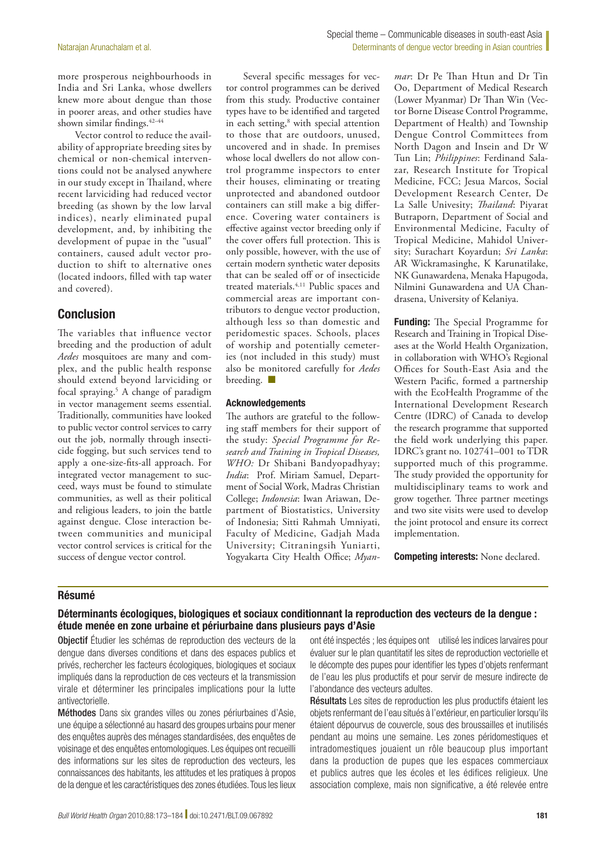more prosperous neighbourhoods in India and Sri Lanka, whose dwellers knew more about dengue than those in poorer areas, and other studies have shown similar findings.42–44

Vector control to reduce the availability of appropriate breeding sites by chemical or non-chemical interventions could not be analysed anywhere in our study except in Thailand, where recent larviciding had reduced vector breeding (as shown by the low larval indices), nearly eliminated pupal development, and, by inhibiting the development of pupae in the "usual" containers, caused adult vector production to shift to alternative ones (located indoors, filled with tap water and covered).

# Conclusion

The variables that influence vector breeding and the production of adult *Aedes* mosquitoes are many and complex, and the public health response should extend beyond larviciding or focal spraying.5 A change of paradigm in vector management seems essential. Traditionally, communities have looked to public vector control services to carry out the job, normally through insecticide fogging, but such services tend to apply a one-size-fits-all approach. For integrated vector management to succeed, ways must be found to stimulate communities, as well as their political and religious leaders, to join the battle against dengue. Close interaction between communities and municipal vector control services is critical for the success of dengue vector control.

Several specific messages for vector control programmes can be derived from this study. Productive container types have to be identified and targeted in each setting,<sup>8</sup> with special attention to those that are outdoors, unused, uncovered and in shade. In premises whose local dwellers do not allow control programme inspectors to enter their houses, eliminating or treating unprotected and abandoned outdoor containers can still make a big difference. Covering water containers is effective against vector breeding only if the cover offers full protection. This is only possible, however, with the use of certain modern synthetic water deposits that can be sealed off or of insecticide treated materials.4,11 Public spaces and commercial areas are important contributors to dengue vector production, although less so than domestic and peridomestic spaces. Schools, places of worship and potentially cemeteries (not included in this study) must also be monitored carefully for *Aedes* breeding.  $\blacksquare$ 

#### Acknowledgements

The authors are grateful to the following staff members for their support of the study: *Special Programme for Research and Training in Tropical Diseases, WHO:* Dr Shibani Bandyopadhyay; *India*: Prof. Miriam Samuel, Department of Social Work, Madras Christian College; *Indonesia*: Iwan Ariawan, Department of Biostatistics, University of Indonesia; Sitti Rahmah Umniyati, Faculty of Medicine, Gadjah Mada University; Citraningsih Yuniarti, Yogyakarta City Health Office; *Myan-* *mar*: Dr Pe Than Htun and Dr Tin Oo, Department of Medical Research (Lower Myanmar) Dr Than Win (Vector Borne Disease Control Programme, Department of Health) and Township Dengue Control Committees from North Dagon and Insein and Dr W Tun Lin; *Philippines*: Ferdinand Salazar, Research Institute for Tropical Medicine, FCC; Jesua Marcos, Social Development Research Center, De La Salle Univesity; *Thailand*: Piyarat Butraporn, Department of Social and Environmental Medicine, Faculty of Tropical Medicine, Mahidol University; Surachart Koyardun; *Sri Lanka*: AR Wickramasinghe, K Karunatilake, NK Gunawardena, Menaka Hapugoda, Nilmini Gunawardena and UA Chandrasena, University of Kelaniya.

Funding: The Special Programme for Research and Training in Tropical Diseases at the World Health Organization, in collaboration with WHO's Regional Offices for South-East Asia and the Western Pacific, formed a partnership with the EcoHealth Programme of the International Development Research Centre (IDRC) of Canada to develop the research programme that supported the field work underlying this paper. IDRC's grant no. 102741–001 to TDR supported much of this programme. The study provided the opportunity for multidisciplinary teams to work and grow together. Three partner meetings and two site visits were used to develop the joint protocol and ensure its correct implementation.

Competing interests: None declared.

## Résumé

## Déterminants écologiques, biologiques et sociaux conditionnant la reproduction des vecteurs de la dengue : étude menée en zone urbaine et périurbaine dans plusieurs pays d'Asie

Objectif Étudier les schémas de reproduction des vecteurs de la dengue dans diverses conditions et dans des espaces publics et privés, rechercher les facteurs écologiques, biologiques et sociaux impliqués dans la reproduction de ces vecteurs et la transmission virale et déterminer les principales implications pour la lutte antivectorielle.

Méthodes Dans six grandes villes ou zones périurbaines d'Asie, une équipe a sélectionné au hasard des groupes urbains pour mener des enquêtes auprès des ménages standardisées, des enquêtes de voisinage et des enquêtes entomologiques. Les équipes ont recueilli des informations sur les sites de reproduction des vecteurs, les connaissances des habitants, les attitudes et les pratiques à propos de la dengue et les caractéristiques des zones étudiées. Tous les lieux ont été inspectés ; les équipes ont utilisé les indices larvaires pour évaluer sur le plan quantitatif les sites de reproduction vectorielle et le décompte des pupes pour identifier les types d'objets renfermant de l'eau les plus productifs et pour servir de mesure indirecte de l'abondance des vecteurs adultes.

Résultats Les sites de reproduction les plus productifs étaient les objets renfermant de l'eau situés à l'extérieur, en particulier lorsqu'ils étaient dépourvus de couvercle, sous des broussailles et inutilisés pendant au moins une semaine. Les zones péridomestiques et intradomestiques jouaient un rôle beaucoup plus important dans la production de pupes que les espaces commerciaux et publics autres que les écoles et les édifices religieux. Une association complexe, mais non significative, a été relevée entre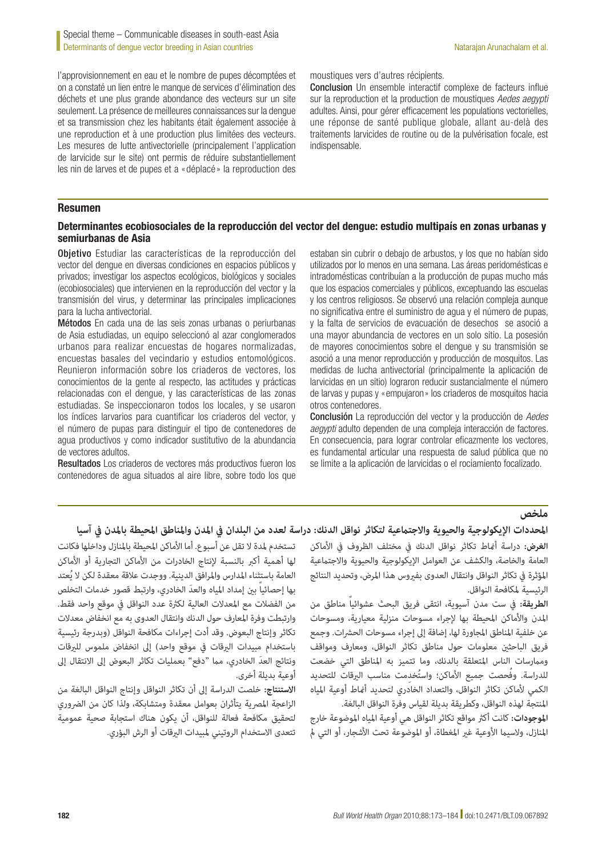l'approvisionnement en eau et le nombre de pupes décomptées et on a constaté un lien entre le manque de services d'élimination des déchets et une plus grande abondance des vecteurs sur un site seulement. La présence de meilleures connaissances sur la dengue et sa transmission chez les habitants était également associée à une reproduction et à une production plus limitées des vecteurs. Les mesures de lutte antivectorielle (principalement l'application de larvicide sur le site) ont permis de réduire substantiellement les nin de larves et de pupes et a «déplacé» la reproduction des moustiques vers d'autres récipients.

Conclusion Un ensemble interactif complexe de facteurs influe sur la reproduction et la production de moustiques *Aedes aegypti* adultes. Ainsi, pour gérer efficacement les populations vectorielles, une réponse de santé publique globale, allant au-delà des traitements larvicides de routine ou de la pulvérisation focale, est indispensable.

#### Resumen

## Determinantes ecobiosociales de la reproducción del vector del dengue: estudio multipaís en zonas urbanas y semiurbanas de Asia

Objetivo Estudiar las características de la reproducción del vector del dengue en diversas condiciones en espacios públicos y privados; investigar los aspectos ecológicos, biológicos y sociales (ecobiosociales) que intervienen en la reproducción del vector y la transmisión del virus, y determinar las principales implicaciones para la lucha antivectorial.

Métodos En cada una de las seis zonas urbanas o periurbanas de Asia estudiadas, un equipo seleccionó al azar conglomerados urbanos para realizar encuestas de hogares normalizadas, encuestas basales del vecindario y estudios entomológicos. Reunieron información sobre los criaderos de vectores, los conocimientos de la gente al respecto, las actitudes y prácticas relacionadas con el dengue, y las características de las zonas estudiadas. Se inspeccionaron todos los locales, y se usaron los índices larvarios para cuantificar los criaderos del vector, y el número de pupas para distinguir el tipo de contenedores de agua productivos y como indicador sustitutivo de la abundancia de vectores adultos.

Resultados Los criaderos de vectores más productivos fueron los contenedores de agua situados al aire libre, sobre todo los que estaban sin cubrir o debajo de arbustos, y los que no habían sido utilizados por lo menos en una semana. Las áreas peridomésticas e intradomésticas contribuían a la producción de pupas mucho más que los espacios comerciales y públicos, exceptuando las escuelas y los centros religiosos. Se observó una relación compleja aunque no significativa entre el suministro de agua y el número de pupas, y la falta de servicios de evacuación de desechos se asoció a una mayor abundancia de vectores en un solo sitio. La posesión de mayores conocimientos sobre el dengue y su transmisión se asoció a una menor reproducción y producción de mosquitos. Las medidas de lucha antivectorial (principalmente la aplicación de larvicidas en un sitio) lograron reducir sustancialmente el número de larvas y pupas y «empujaron» los criaderos de mosquitos hacia otros contenedores.

Conclusión La reproducción del vector y la producción de *Aedes aegypti* adulto dependen de una compleja interacción de factores. En consecuencia, para lograr controlar eficazmente los vectores, es fundamental articular una respuesta de salud pública que no se limite a la aplicación de larvicidas o el rociamiento focalizado.

## **ملخص**

## **املحددات اإليكولوجية والحيوية واالجتامعية لتكاثر نواقل الدنك: دراسة لعدد من البلدان يف املدن واملناطق املحيطة باملدن يف آسيا**

تستخدم لمدة لا تقل عن أسبوع. أما الأماكن المحيطة بالمنازل وداخلها فكانت لها أهمية أكرب بالنسبة إلنتاج الخادرات من األماكن التجارية أو األماكن ُ العامة باستثناء املدارس واملرافق الدينية. ووجدت عالقة معقدة لكن ال يعتد بها إحصائياً َ بني إمداد املياه والعد الخادري، وارتبط قصور خدمات التخلص من الفضالت مع املعدالت العالية لكرثة عدد النواقل يف موقع واحد فقط. وارتبطت وفرة املعارف حول الدنك وانتقال العدوى به مع انخفاض معدالت تكاثر وإنتاج البعوض. وقد أدت إجراءات مكافحة النواقل )وبدرجة رئيسية باستخدام مبيدات البرقات فى موقع واحد) إلى انخفاض ملموس للبرقات ونتائج العدَ الخادري، مما "دفع" بعمليات تكاثر البعوض إلى الانتقال إلى أوعية بديلة أخرى.

**االستنتاج:** خلصت الدراسة إىل أن تكاثر النواقل وإنتاج النواقل البالغة من الزاعجة المصرية يتأثران بعوامل معقدة ومتشابكة، ولذا كان من الضروري لتحقيق مكافحة فعالة للنواقل، أن يكون هناك استجابة صحية عمومية تتعدى الاستخدام الروتيني لمبيدات البرقات أو الرش البؤري. **الغرض:** دراسة أمناط تكاثر نواقل الدنك يف مختلف الظروف يف األماكن العامة والخاصة، والكشف عن العوامل الإيكولوجية والحيوية والاجتماعية املؤثرة يف تكاثر النواقل وانتقال العدوى بفريوس هذا املرض، وتحديد النتائج الرئيسية ملكافحة النواقل.

**الطريقة:** يف ست مدن آسيوية، انتقى فريق البحث عشوائياً مناطق من املدن واألماكن املحيطة بها إلجراء مسوحات منزلية معيارية، ومسوحات عن خلفية المناطق المجاورة لها، إضافة إلى إجراء مسوحات الحشرات. وجمع فريق الباحثني معلومات حول مناطق تكاثر النواقل، ومعارف ومواقف وممارسات الناس المتعلقة بالدنك، وما تتميز به المناطق التي خضعت للدراسة. وفُحصت جميع الأماكن؛ واستُخدِمت مناسب اليرقات للتحديد الكمي ألماكن تكاثر النواقل، والتعداد الخادري لتحديد أمناط أوعية املياه املنتجة لهذه النواقل، وكطريقة بديلة لقياس وفرة النواقل البالغة.

**املوجودات:** كانت أكرث مواقع تكاثر النواقل هي أوعية املياه املوضوعة خارج المنازل، ولاسيما الأوعية غبر المغطاة، أو الموضوعة تحت الأشجار، أو التي لم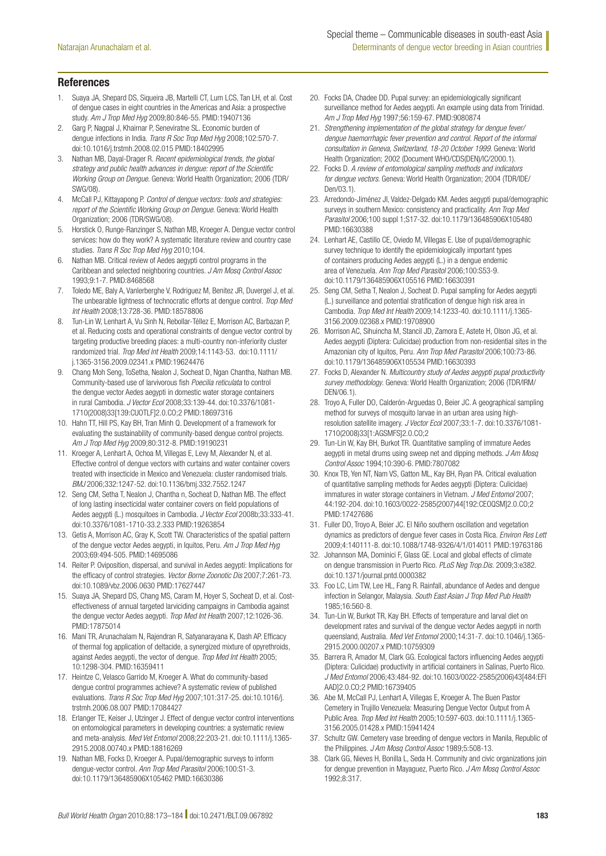#### References

- 1. Suaya JA, Shepard DS, Siqueira JB, Martelli CT, Lum LCS, Tan LH, et al. Cost of dengue cases in eight countries in the Americas and Asia: a prospective study. *Am J Trop Med Hyg* 2009;80:846-55. PMID:19407136
- 2. Garg P, Nagpal J, Khairnar P, Seneviratne SL. Economic burden of dengue infections in India. *Trans R Soc Trop Med Hyg* 2008;102:570-7. doi:10.1016/j.trstmh.2008.02.015 PMID:18402995
- 3. Nathan MB, Dayal-Drager R. *Recent epidemiological trends, the global strategy and public health advances in dengue: report of the Scientific Working Group on Dengue*. Geneva: World Health Organization; 2006 (TDR/ SWG/08).
- 4. McCall PJ, Kittayapong P. *Control of dengue vectors: tools and strategies: report of the Scientific Working Group on Dengue*. Geneva: World Health Organization; 2006 (TDR/SWG/08).
- 5. Horstick O, Runge-Ranzinger S, Nathan MB, Kroeger A. Dengue vector control services: how do they work? A systematic literature review and country case studies. *Trans R Soc Trop Med Hyg* 2010;104.
- 6. Nathan MB. Critical review of Aedes aegypti control programs in the Caribbean and selected neighboring countries. *J Am Mosq Control Assoc* 1993;9:1-7. PMID:8468568
- 7. Toledo ME, Baly A, Vanlerberghe V, Rodriguez M, Benitez JR, Duvergel J, et al. The unbearable lightness of technocratic efforts at dengue control. *Trop Med Int Health* 2008;13:728-36. PMID:18578806
- 8. Tun-Lin W, Lenhart A, Vu Sinh N, Rebollar-Téllez E, Morrison AC, Barbazan P, et al. Reducing costs and operational constraints of dengue vector control by targeting productive breeding places: a multi-country non-inferiority cluster randomized trial. *Trop Med Int Health* 2009;14:1143-53. doi:10.1111/ j.1365-3156.2009.02341.x PMID:19624476
- 9. Chang Moh Seng, ToSetha, Nealon J, Socheat D, Ngan Chantha, Nathan MB. Community-based use of larvivorous fish *Poecilia reticulata* to control the dengue vector Aedes aegypti in domestic water storage containers in rural Cambodia. *J Vector Ecol* 2008;33:139-44. doi:10.3376/1081- 1710(2008)33[139:CUOTLF]2.0.CO;2 PMID:18697316
- 10. Hahn TT, Hill PS, Kay BH, Tran Minh Q. Development of a framework for evaluating the sustainability of community-based dengue control projects. *Am J Trop Med Hyg* 2009;80:312-8. PMID:19190231
- 11. Kroeger A, Lenhart A, Ochoa M, Villegas E, Levy M, Alexander N, et al. Effective control of dengue vectors with curtains and water container covers treated with insecticide in Mexico and Venezuela: cluster randomised trials. *BMJ* 2006;332:1247-52. doi:10.1136/bmj.332.7552.1247
- 12. Seng CM, Setha T, Nealon J, Chantha n, Socheat D, Nathan MB. The effect of long lasting insecticidal water container covers on field populations of Aedes aegypti (L.) mosquitoes in Cambodia. *J Vector Ecol* 2008b;33:333-41. doi:10.3376/1081-1710-33.2.333 PMID:19263854
- 13. Getis A, Morrison AC, Gray K, Scott TW. Characteristics of the spatial pattern of the dengue vector Aedes aegypti, in Iquitos, Peru. *Am J Trop Med Hyg* 2003;69:494-505. PMID:14695086
- 14. Reiter P. Oviposition, dispersal, and survival in Aedes aegypti: Implications for the efficacy of control strategies. *Vector Borne Zoonotic Dis* 2007;7:261-73. doi:10.1089/vbz.2006.0630 PMID:17627447
- 15. Suaya JA, Shepard DS, Chang MS, Caram M, Hoyer S, Socheat D, et al. Costeffectiveness of annual targeted larviciding campaigns in Cambodia against the dengue vector Aedes aegypti. *Trop Med Int Health* 2007;12:1026-36. PMID:17875014
- 16. Mani TR, Arunachalam N, Rajendran R, Satyanarayana K, Dash AP. Efficacy of thermal fog application of deltacide, a synergized mixture of opyrethroids, against Aedes aegypti, the vector of dengue. *Trop Med Int Health* 2005; 10:1298-304. PMID:16359411
- 17. Heintze C, Velasco Garrido M, Kroeger A. What do community-based dengue control programmes achieve? A systematic review of published evaluations. *Trans R Soc Trop Med Hyg* 2007;101:317-25. doi:10.1016/j. trstmh.2006.08.007 PMID:17084427
- 18. Erlanger TE, Keiser J, Utzinger J. Effect of dengue vector control interventions on entomological parameters in developing countries: a systematic review and meta-analysis. *Med Vet Entomol* 2008;22:203-21. doi:10.1111/j.1365- 2915.2008.00740.x PMID:18816269
- 19. Nathan MB, Focks D, Kroeger A. Pupal/demographic surveys to inform dengue-vector control. *Ann Trop Med Parasitol* 2006;100:S1-3. doi:10.1179/136485906X105462 PMID:16630386
- 20. Focks DA, Chadee DD. Pupal survey: an epidemiologically significant surveillance method for Aedes aegypti. An example using data from Trinidad. *Am J Trop Med Hyg* 1997;56:159-67. PMID:9080874
- 21. *Strengthening implementation of the global strategy for dengue fever/ dengue haemorrhagic fever prevention and control. Report of the informal consultation in Geneva, Switzerland, 18-20 October 1999*. Geneva: World Health Organization; 2002 (Document WHO/CDS(DEN)/IC/2000.1).
- 22. Focks D. *A review of entomological sampling methods and indicators for dengue vectors*. Geneva: World Health Organization; 2004 (TDR/IDE/ Den/03.1).
- 23. Arredondo-Jiménez JI, Valdez-Delgado KM. Aedes aegypti pupal/demographic surveys in southern Mexico: consistency and practicality. *Ann Trop Med Parasitol* 2006;100 suppl 1;S17-32. doi:10.1179/136485906X105480 PMID:16630388
- 24. Lenhart AE, Castillo CE, Oviedo M, Villegas E. Use of pupal/demographic survey technique to identify the epidemiologically important types of containers producing Aedes aegypti (L.) in a dengue endemic area of Venezuela. *Ann Trop Med Parasitol* 2006;100:S53-9. doi:10.1179/136485906X105516 PMID:16630391
- 25. Seng CM, Setha T, Nealon J, Socheat D. Pupal sampling for Aedes aegypti (L.) surveillance and potential stratification of dengue high risk area in Cambodia. *Trop Med Int Health* 2009;14:1233-40. doi:10.1111/j.1365- 3156.2009.02368.x PMID:19708900
- 26. Morrison AC, Sihuincha M, Stancil JD, Zamora E, Astete H, Olson JG, et al. Aedes aegypti (Diptera: Culicidae) production from non-residential sites in the Amazonian city of Iquitos, Peru. *Ann Trop Med Parasitol* 2006;100:73-86. doi:10.1179/136485906X105534 PMID:16630393
- 27. Focks D, Alexander N. *Multicountry study of Aedes aegypti pupal productivity survey methodology*. Geneva: World Health Organization; 2006 (TDR/IRM/ DEN/06.1).
- 28. Troyo A, Fuller DO, Calderón-Arguedas O, Beier JC. A geographical sampling method for surveys of mosquito larvae in an urban area using highresolution satellite imagery. *J Vector Ecol* 2007;33:1-7. doi:10.3376/1081- 1710(2008)33[1:AGSMFS]2.0.CO;2
- 29. Tun-Lin W, Kay BH, Burkot TR. Quantitative sampling of immature Aedes aegypti in metal drums using sweep net and dipping methods. *J Am Mosq Control Assoc* 1994;10:390-6. PMID:7807082
- 30. Knox TB, Yen NT, Nam VS, Gatton ML, Kay BH, Ryan PA. Critical evaluation of quantitative sampling methods for Aedes aegypti (Diptera: Culicidae) immatures in water storage containers in Vietnam. *J Med Entomol* 2007; 44:192-204. doi:10.1603/0022-2585(2007)44[192:CEOQSM]2.0.CO;2 PMID:17427686
- 31. Fuller DO, Troyo A, Beier JC. El Niño southern oscillation and vegetation dynamics as predictors of dengue fever cases in Costa Rica. *Environ Res Lett* 2009;4:140111-8. doi:10.1088/1748-9326/4/1/014011 PMID:19763186
- 32. Johannson MA, Dominici F, Glass GE. Local and global effects of climate on dengue transmission in Puerto Rico. *PLoS Neg Trop.Dis.* 2009;3:e382. doi:10.1371/journal.pntd.0000382
- 33. Foo LC, Lim TW, Lee HL, Fang R. Rainfall, abundance of Aedes and dengue infection in Selangor, Malaysia. *South East Asian J Trop Med Pub Health* 1985;16:560-8.
- 34. Tun-Lin W, Burkot TR, Kay BH. Effects of temperature and larval diet on development rates and survival of the dengue vector Aedes aegypti in north queensland, Australia. *Med Vet Entomol* 2000;14:31-7. doi:10.1046/j.1365- 2915.2000.00207.x PMID:10759309
- 35. Barrera R, Amador M, Clark GG. Ecological factors influencing Aedes aegypti (Diptera: Culicidae) productivity in artificial containers in Salinas, Puerto Rico. *J Med Entomol* 2006;43:484-92. doi:10.1603/0022-2585(2006)43[484:EFI AAD]2.0.CO;2 PMID:16739405
- 36. Abe M, McCall PJ, Lenhart A, Villegas E, Kroeger A. The Buen Pastor Cemetery in Trujillo Venezuela: Measuring Dengue Vector Output from A Public Area. *Trop Med Int Health* 2005;10:597-603. doi:10.1111/j.1365- 3156.2005.01428.x PMID:15941424
- 37. Schultz GW. Cemetery vase breeding of dengue vectors in Manila, Republic of the Philippines. *J Am Mosq Control Assoc* 1989;5:508-13.
- 38. Clark GG, Nieves H, Bonilla L, Seda H. Community and civic organizations join for dengue prevention in Mayaguez, Puerto Rico. *J Am Mosq Control Assoc* 1992;8:317.